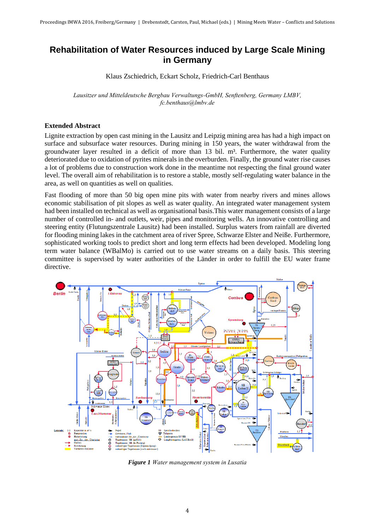## **Rehabilitation of Water Resources induced by Large Scale Mining in Germany**

Klaus Zschiedrich, Eckart Scholz, Friedrich-Carl Benthaus

*Lausitzer und Mitteldeutsche Bergbau Verwaltungs-GmbH, Senftenberg, Germany LMBV, fc.benthaus@lmbv.de*

## **Extended Abstract**

Lignite extraction by open cast mining in the Lausitz and Leipzig mining area has had a high impact on surface and subsurface water resources. During mining in 150 years, the water withdrawal from the groundwater layer resulted in a deficit of more than 13 bil. m<sup>3</sup>. Furthermore, the water quality deteriorated due to oxidation of pyrites minerals in the overburden. Finally, the ground water rise causes a lot of problems due to construction work done in the meantime not respecting the final ground water level. The overall aim of rehabilitation is to restore a stable, mostly self-regulating water balance in the area, as well on quantities as well on qualities.

Fast flooding of more than 50 big open mine pits with water from nearby rivers and mines allows economic stabilisation of pit slopes as well as water quality. An integrated water management system had been installed on technical as well as organisational basis.This water management consists of a large number of controlled in- and outlets, weir, pipes and monitoring wells. An innovative controlling and steering entity (Flutungszentrale Lausitz) had been installed. Surplus waters from rainfall are diverted for flooding mining lakes in the catchment area of river Spree, Schwarze Elster and Neiße. Furthermore, sophisticated working tools to predict short and long term effects had been developed. Modeling long term water balance (WBalMo) is carried out to use water streams on a daily basis. This steering committee is supervised by water authorities of the Länder in order to fulfill the EU water frame directive.



*Figure 1 Water management system in Lusatia*